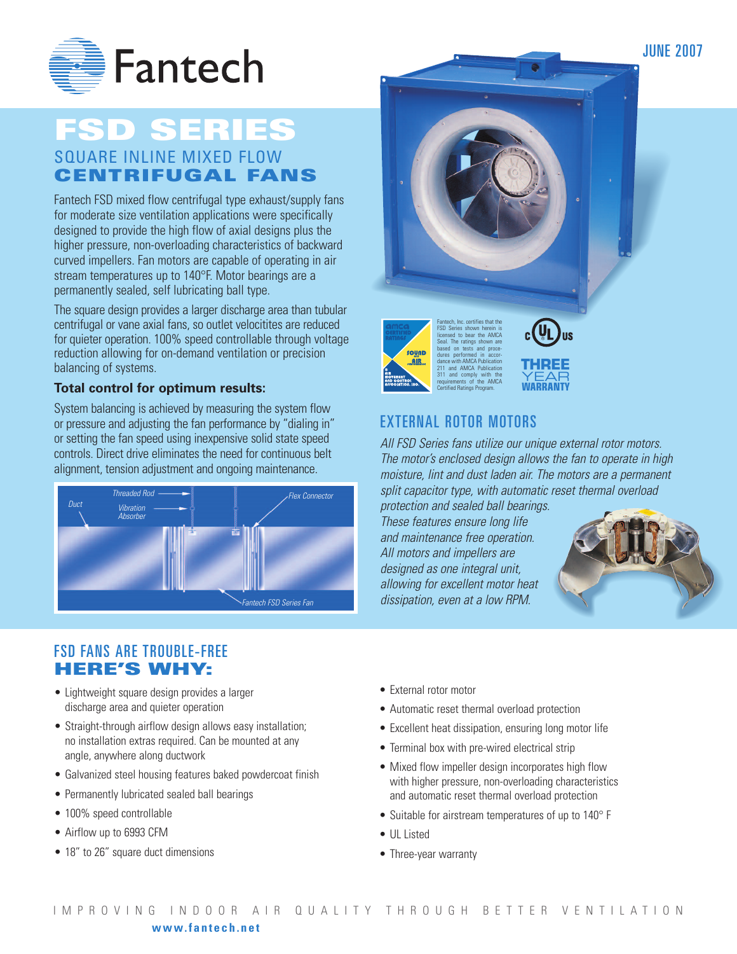

## **FSD SERIES** SQUARE INLINE MIXED FLOW

**CENTRIFUGAL FANS**

Fantech FSD mixed flow centrifugal type exhaust/supply fans for moderate size ventilation applications were specifically designed to provide the high flow of axial designs plus the higher pressure, non-overloading characteristics of backward curved impellers. Fan motors are capable of operating in air stream temperatures up to 140°F. Motor bearings are a permanently sealed, self lubricating ball type.

The square design provides a larger discharge area than tubular centrifugal or vane axial fans, so outlet velocitites are reduced for quieter operation. 100% speed controllable through voltage reduction allowing for on-demand ventilation or precision balancing of systems.

### **Total control for optimum results:**

System balancing is achieved by measuring the system flow or pressure and adjusting the fan performance by "dialing in" or setting the fan speed using inexpensive solid state speed controls. Direct drive eliminates the need for continuous belt alignment, tension adjustment and ongoing maintenance.









## EXTERNAL ROTOR MOTORS

*All FSD Series fans utilize our unique external rotor motors. The motor's enclosed design allows the fan to operate in high moisture, lint and dust laden air. The motors are a permanent split capacitor type, with automatic reset thermal overload* 

*protection and sealed ball bearings. These features ensure long life and maintenance free operation. All motors and impellers are designed as one integral unit, allowing for excellent motor heat dissipation, even at a low RPM.*



## FSD FANS ARE TROUBLE-FREE **HERE'S WHY:**

- Lightweight square design provides a larger discharge area and quieter operation
- Straight-through airflow design allows easy installation; no installation extras required. Can be mounted at any angle, anywhere along ductwork
- Galvanized steel housing features baked powdercoat finish
- Permanently lubricated sealed ball bearings
- 100% speed controllable
- Airflow up to 6993 CFM
- 18" to 26" square duct dimensions
- External rotor motor
- Automatic reset thermal overload protection
- Excellent heat dissipation, ensuring long motor life
- Terminal box with pre-wired electrical strip
- Mixed flow impeller design incorporates high flow with higher pressure, non-overloading characteristics and automatic reset thermal overload protection
- Suitable for airstream temperatures of up to 140° F
- UL Listed
- Three-year warranty

JUNE 2007